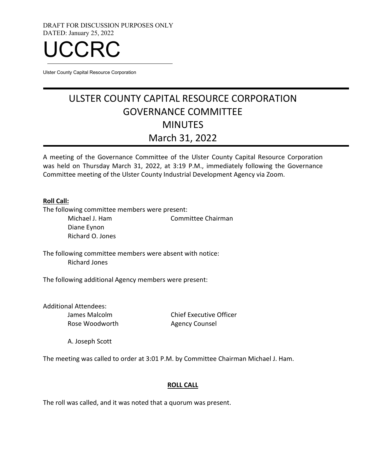DRAFT FOR DISCUSSION PURPOSES ONLY DATED: January 25, 2022



Ulster County Capital Resource Corporation

# ULSTER COUNTY CAPITAL RESOURCE CORPORATION GOVERNANCE COMMITTEE **MINUTES** March 31, 2022

A meeting of the Governance Committee of the Ulster County Capital Resource Corporation was held on Thursday March 31, 2022, at 3:19 P.M., immediately following the Governance Committee meeting of the Ulster County Industrial Development Agency via Zoom.

#### **Roll Call:**

The following committee members were present:

Michael J. Ham Committee Chairman Diane Eynon Richard O. Jones

The following committee members were absent with notice: Richard Jones

The following additional Agency members were present:

Additional Attendees: James Malcolm Rose Woodworth

Chief Executive Officer Agency Counsel

A. Joseph Scott

The meeting was called to order at 3:01 P.M. by Committee Chairman Michael J. Ham.

# **ROLL CALL**

The roll was called, and it was noted that a quorum was present.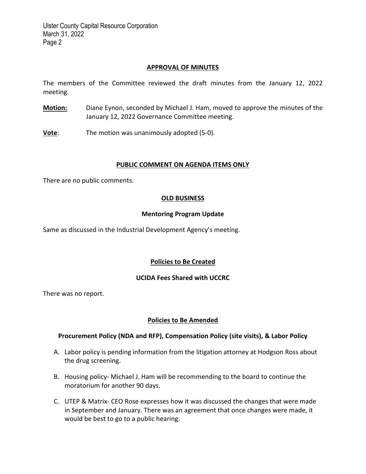Ulster County Capital Resource Corporation March 31, 2022 Page 2

#### **APPROVAL OF MINUTES**

The members of the Committee reviewed the draft minutes from the January 12, 2022 meeting.

**Motion:** Diane Eynon, seconded by Michael J. Ham, moved to approve the minutes of the January 12, 2022 Governance Committee meeting.

**Vote:** The motion was unanimously adopted (5-0).

#### **PUBLIC COMMENT ON AGENDA ITEMS ONLY**

There are no public comments.

# **OLD BUSINESS**

# **Mentoring Program Update**

Same as discussed in the Industrial Development Agency's meeting.

# **Policies to Be Created**

# **UCIDA Fees Shared with UCCRC**

There was no report.

# **Policies to Be Amended**

# **Procurement Policy (NDA and RFP), Compensation Policy (site visits), & Labor Policy**

- A. Labor policy is pending information from the litigation attorney at Hodgson Ross about the drug screening.
- B. Housing policy- Michael J. Ham will be recommending to the board to continue the moratorium for another 90 days.
- C. UTEP & Matrix- CEO Rose expresses how it was discussed the changes that were made in September and January. There was an agreement that once changes were made, it would be best to go to a public hearing.